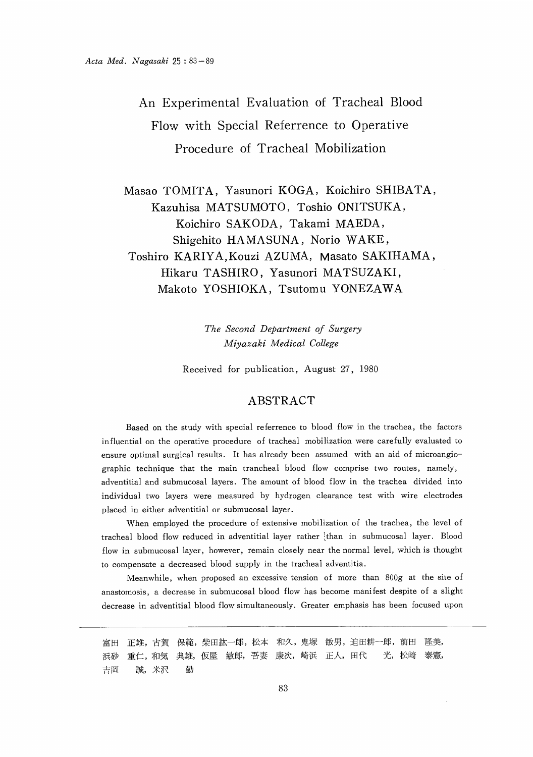An Experimental Evaluation of Tracheal Blood Flow with Special Referrence to Operative Procedure of Tracheal Mobilization

Masao TOMITA, Yasunori KOGA, Koichiro SHIBATA, Kazuhisa MATSUMOTO, Toshio ONITSUKA, Koichiro SAKODA, Takami MAEDA, Shigehito HAMASUNA , Norio WAKE, Toshiro KARIYA, Kouzi AZUMA, Masato SAKIHAMA, Hikaru TASHIRO, Yasunori MATSUZAKI, Makoto YOSHIOKA, Tsutomu YONEZAWA

> The Second Department of Surgery Miyazaki Medical College

Received for publication, August 27, 1980

# ABSTRACT

 Based on the study with special referrence to blood flow in the trachea, the factors influential on the operative procedure of tracheal mobilization were carefully evaluated to ensure optimal surgical results. It has already been assumed with an aid of microangiographic technique that the main trancheal blood flow comprise two routes, namely, adventitial and submucosal layers. The amount of blood flow in the trachea divided into individual two layers were measured by hydrogen clearance test with wire electrodes placed in either adventitial or submucosal layer.

When employed the procedure of extensive mobilization of the trachea, the level of tracheal blood flow reduced in adventitial layer rather (than in submucosal layer. Blood flow in submucosal layer, however, remain closely near the normal level, which is thought to compensate a decreased blood supply in the tracheal adventitia.

Meanwhile, when proposed an excessive tension of more than 800g at the site of anastomosis, a decrease in submucosal blood flow has become manifest despite of a slight decrease in adventitial blood flow simultaneously. Greater emphasis has been focused upon

正雄,古賀 保範,柴田紘一郎,松本 和久,鬼塚 敏男,迫田耕一郎,前田 隆美, 富田 重仁,和気 典雄, 仮屋 敏郎, 吾妻 康次, 崎浜 正人, 田代 光, 松崎 泰憲, 浜砂 誠, 米沢 勤 吉岡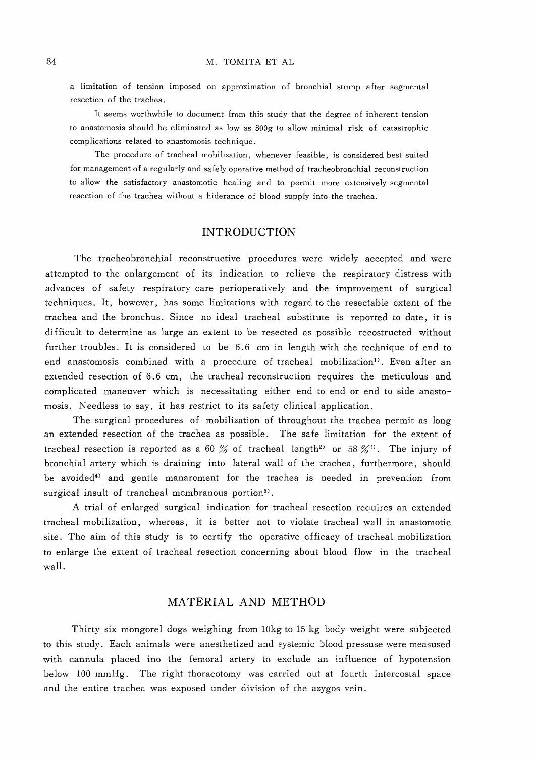a limitation of tension imposed on approximation of bronchial stump after segmental resection of the trachea.

It seems worthwhile to document from this study that the degree of inherent tension to anastomosis should be eliminated as low as 800g to allow minimal risk of catastrophic complications related to anastomosis technique.

The procedure of tracheal mobilization, whenever feasible, is considered best suited for management of a regularly and safely operative method of tracheobronchial reconstruction to allow the satisfactory anastomotic healing and to permit more extensively segmental resection of the trachea without a hiderance of blood supply into the trachea.

## INTRODUCTION

The tracheobronchial reconstructive procedures were widely accepted and were attempted to the enlargement of its indication to relieve the respiratory distress with advances of safety respiratory care perioperatively and the improvement of surgical techniques. It, however, has some limitations with regard to the resectable extent of the trachea and the bronchus. Since no ideal tracheal substitute is reported to date, it is difficult to determine as large an extent to be resected as possible recostructed without further troubles. It is considered to be 6.6 cm in length with the technique of end to end anastomosis combined with a procedure of tracheal mobilization'). Even after an extended resection of 6.6 cm, the tracheal reconstruction requires the meticulous and complicated maneuver which is necessitating either end to end or end to side anastomosis. Needless to say, it has restrict to its safety clinical application.

The surgical procedures of mobilization of throughout the trachea permit as long an extended resection of the trachea as possible. The safe limitation for the extent of tracheal resection is reported as a 60 % of tracheal length<sup>2</sup> or 58 %<sup>3</sup>). The injury of bronchial artery which is draining into lateral wall of the trachea, furthermore, should be avoided<sup>4)</sup> and gentle manarement for the trachea is needed in prevention from surgical insult of trancheal membranous portion<sup>5)</sup>.

A trial of enlarged surgical indication for tracheal resection requires an extended tracheal mobilization, whereas, it is better not to violate tracheal wall in anastomotic site. The aim of this study is to certify the operative efficacy of tracheal mobilization to enlarge the extent of tracheal resection concerning about blood flow in the tracheal wall.

## MATERIAL AND METHOD

Thirty six mongorel dogs weighing from 10kg to 15 kg body weight were subjected to this study. Each animals were anesthetized and systemic blood pressuse were measused with cannula placed ino the femoral artery to exclude an influence of hypotension below 100 mmHg. The right thoracotomy was carried out at fourth intercostal space and the entire trachea was exposed under division of the azygos vein.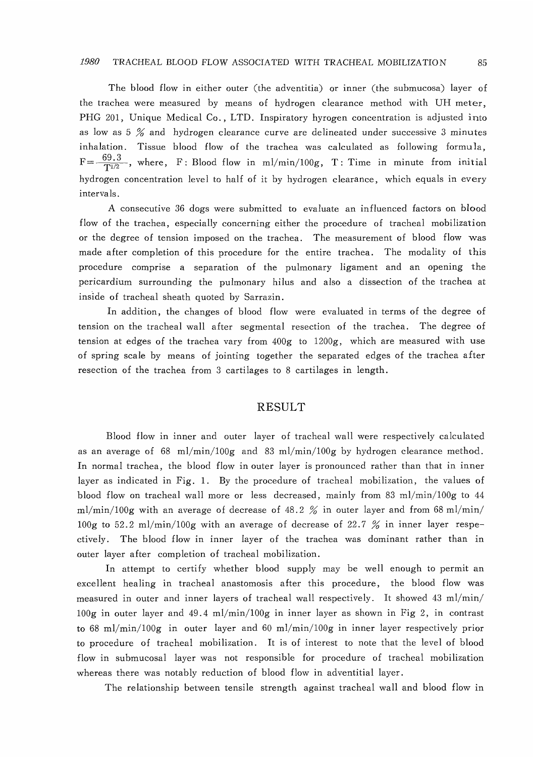#### 1980 TRACHEAL BLOOD FLOW ASSOCIATED WITH TRACHEAL MOBILIZATION

 The blood flow in either outer (the adventitia) or inner (the submucosa) layer of the trachea were measured by means of hydrogen clearance method with UH meter, PHG 201, Unique Medical Co., LTD. Inspiratory hyrogen concentration is adjusted into as low as 5 % and hydrogen clearance curve are delineated under successive 3 minutes inhalation. Tissue blood flow of the trachea was calculated as following formula,  $F=-\frac{69.3}{T^{1/2}}$ , where, F: Blood flow in ml/min/100g, T: Time in minute from initial hydrogen concentration level to half of it by hydrogen clearance, which equals in every intervals.

 A consecutive 36 dogs were submitted to evaluate an influenced factors on blood flow of the trachea, especially concerning either the procedure of tracheal mobilization or the degree of tension imposed on the trachea. The measurement of blood flow was made after completion of this procedure for the entire trachea. The modality of this procedure comprise a separation of the pulmonary ligament and an opening the pericardium surrounding the pulmonary hilus and also a dissection of the trachea at inside of tracheal sheath quoted by Sarrazin.

In addition, the changes of blood flow were evaluated in terms of the degree of tension on the tracheal wall after segmental resection of the trachea. The degree of tension at edges of the trachea vary from 400g to 1200g, which are measured with use of spring scale by means of jointing together the separated edges of the trachea after resection of the trachea from 3 cartilages to 8 cartilages in length.

### RESULT

Blood flow in inner and outer layer of tracheal wall were respectively calculated as an average of 68 ml/min/100g and 83 ml/min/100g by hydrogen clearance method. In normal trachea, the blood flow in outer layer is pronounced rather than that in inner layer as indicated in Fig. 1. By the procedure of tracheal mobilization, the values of blood flow on tracheal wall more or less decreased, mainly from 83 ml/min/100g to 44 ml/min/100g with an average of decrease of  $48.2\%$  in outer layer and from  $68 \text{ ml/min}$ / 100g to 52.2 ml/min/100g with an average of decrease of 22.7 % in inner layer respectively. The blood flow in inner layer of the trachea was dominant rather than in outer layer after completion of tracheal mobilization.

In attempt to certify whether blood supply may be well enough to permit an excellent healing in tracheal anastomosis after this procedure, the blood flow was measured in outer and inner layers of tracheal wall respectively. It showed 43 ml/min/ 100g in outer layer and 49.4 ml/min/100g in inner layer as shown in Fig 2, in contrast to 68 ml/min/100g in outer layer and 60 ml/min/100g in inner layer respectively prior to procedure of tracheal mobilization. It is of interest to note that the level of blood flow in submucosal layer was not responsible for procedure of tracheal mobilization whereas there was notably reduction of blood flow in adventitial layer.

The relationship between tensile strength against tracheal wall and blood flow in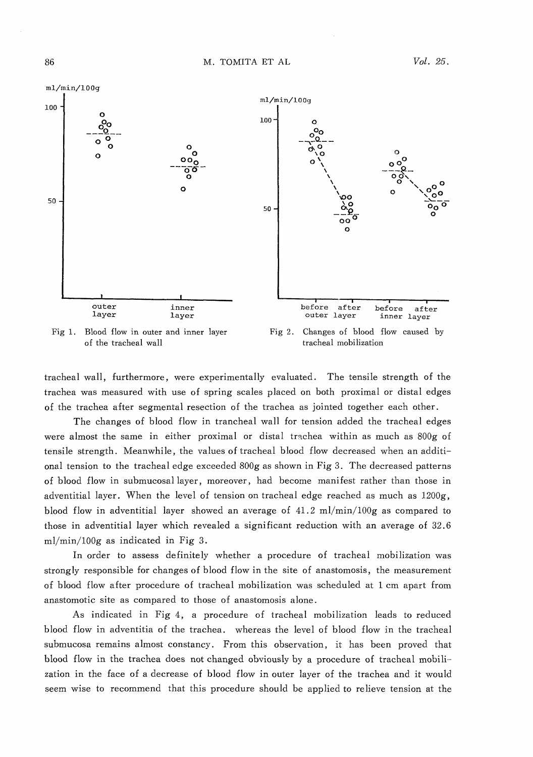

tracheal wall, furthermore, were experimentally evaluated. The tensile strength of the trachea was measured with use of spring scales placed on both proximal or distal edges

of the trachea after segmental resection of the trachea as jointed together each other.

The changes of blood flow in trancheal wall for tension added the tracheal edges were almost the same in either proximal or distal trachea within as much as 800g of tensile strength. Meanwhile, the values of tracheal blood flow decreased when an additional tension to the tracheal edge exceeded 800g as shown in Fig 3. The decreased patterns of blood flow in submucosal layer, moreover, had become manifest rather than those in adventitial layer. When the level of tension on tracheal edge reached as much as 1200g, blood flow in adventitial layer showed an average of 41.2 ml/min/100g as compared to those in adventitial layer which revealed a significant reduction with an average of 32.6 ml/min/100g as indicated in Fig 3.

In order to assess definitely whether a procedure of tracheal mobilization was strongly responsible for changes of blood flow in the site of anastomosis, the measurement of blood flow after procedure of tracheal mobilization was scheduled at 1 cm apart from anastomotic site as compared to those of anastomosis alone.

As indicated in Fig 4, a procedure of tracheal mobilization leads to reduced blood flow in adventitia of the trachea. whereas the level of blood flow in the tracheal submucosa remains almost constancy. From this observation, it has been proved that blood flow in the trachea does not changed obviously by a procedure of tracheal mobilization in the face of a decrease of blood flow in outer layer of the trachea and it would seem wise to recommend that this procedure should be applied to relieve tension at the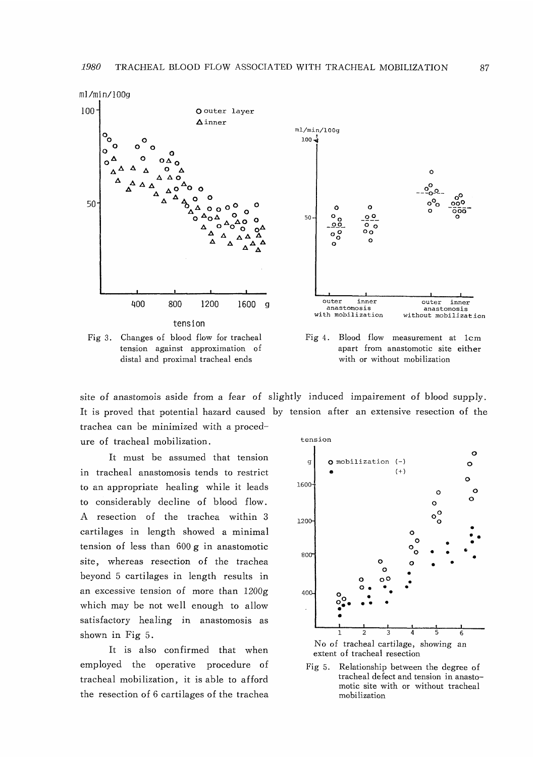

tension against approximation of distal and proximal tracheal ends

apart from anastomotic site either with or without mobilization

site of anastomois aside from a fear of slightly induced impairement of blood supply. It is proved that potential hazard caused by tension after an extensive resection of the trachea can be minimized with a proced-

ure of tracheal mobilization.

It must be assumed that tension in tracheal anastomosis tends to restrict to an appropriate healing while it leads to considerably decline of blood flow. A resection of the trachea within 3 cartilages in length showed a minimal tension of less than 600g in anastomotic site, whereas resection of the trachea beyond 5 cartilages in length results in an excessive tension of more than 1200g which may be not well enough to allow satisfactory healing in anastomosis as shown in Fig 5.

It is also confirmed that when employed the operative procedure of tracheal mobilization, it is able to afford the resection of 6 cartilages of the trachea



Fig 5. Relationship between the degree of tracheal defect and tension in anastomotic site with or without tracheal mobilization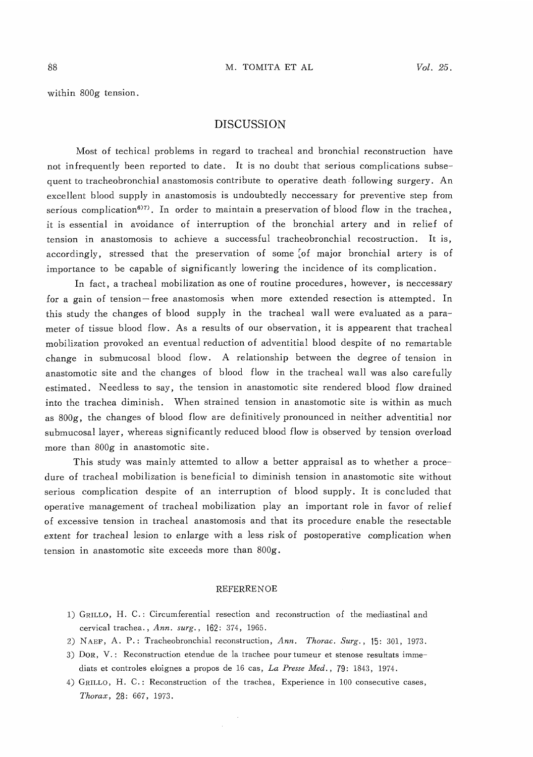within 800g tension.

### DISCUSSION

Most of techical problems in regard to tracheal and bronchial reconstruction have not infrequently been reported to date. It is no doubt that serious complications subsequent to tracheobronchial anastomosis contribute to operative death following surgery. An excellent blood supply in anastomosis is undoubtedly neccessary for preventive step from serious complication<sup>6)7</sup>. In order to maintain a preservation of blood flow in the trachea, it is essential in avoidance of interruption of the bronchial artery and in relief of tension in anastomosis to achieve a successful tracheobronchial recostruction. It is, accordingly, stressed that the preservation of some of major bronchial artery is of importance to be capable of significantly lowering the incidence of its complication.

In fact, a tracheal mobilization as one of routine procedures, however, is neccessary for a gain of tension-free anastomosis when more extended resection is attempted. In this study the changes of blood supply in the tracheal wall were evaluated as a parameter of tissue blood flow. As a results of our observation, it is appearent that tracheal mobilization provoked an eventual reduction of adventitial blood despite of no remartable change in submucosal blood flow. A relationship between the degree of tension in anastomotic site and the changes of blood flow in the tracheal wall was also carefully estimated. Needless to say, the tension in anastomotic site rendered blood flow drained into the trachea diminish. When strained tension in anastomotic site is within as much as 800g, the changes of blood flow are definitively pronounced in neither adventitial nor submucosal layer, whereas significantly reduced blood flow is observed by tension overload more than 800g in anastomotic site.

This study was mainly attemted to allow a better appraisal as to whether a procedure of tracheal mobilization is beneficial to diminish tension in anastomotic site without serious complication despite of an interruption of blood supply. It is concluded that operative management of tracheal mobilization play an important role in favor of relief of excessive tension in tracheal anastomosis and that its procedure enable the resectable extent for tracheal lesion to enlarge with a less risk of postoperative complication when tension in anastomotic site exceeds more than 800g.

### **REFERRENOE**

- 1) GRILLO, H. C.: Circumferential resection and reconstruction of the mediastinal and cervical trachea., Ann. surg., 162: 374, 1965.
- 2) NAEF, A. P.: Tracheobronchial reconstruction, Ann. Thorac. Surg., 15: 301, 1973.
- 3) DOR, V.: Reconstruction etendue de la trachee pour tumeur et stenose resultats immediats et controles eloignes a propos de 16 cas, La Presse Med. , 79: 1843, 1974.
- 4) GRILLO, H. C.: Reconstruction of the trachea, Experience in 100 consecutive cases, Thorax, 28: 667, 1973.